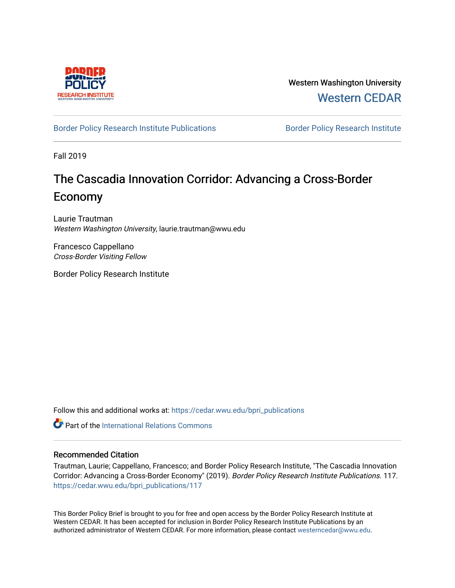

Western Washington University [Western CEDAR](https://cedar.wwu.edu/) 

## [Border Policy Research Institute Publications](https://cedar.wwu.edu/bpri_publications) **Border Policy Research Institute**

Fall 2019

# The Cascadia Innovation Corridor: Advancing a Cross-Border Economy

Laurie Trautman Western Washington University, laurie.trautman@wwu.edu

Francesco Cappellano Cross-Border Visiting Fellow

Border Policy Research Institute

Follow this and additional works at: [https://cedar.wwu.edu/bpri\\_publications](https://cedar.wwu.edu/bpri_publications?utm_source=cedar.wwu.edu%2Fbpri_publications%2F117&utm_medium=PDF&utm_campaign=PDFCoverPages) 

**C** Part of the International Relations Commons

#### Recommended Citation

Trautman, Laurie; Cappellano, Francesco; and Border Policy Research Institute, "The Cascadia Innovation Corridor: Advancing a Cross-Border Economy" (2019). Border Policy Research Institute Publications. 117. [https://cedar.wwu.edu/bpri\\_publications/117](https://cedar.wwu.edu/bpri_publications/117?utm_source=cedar.wwu.edu%2Fbpri_publications%2F117&utm_medium=PDF&utm_campaign=PDFCoverPages) 

This Border Policy Brief is brought to you for free and open access by the Border Policy Research Institute at Western CEDAR. It has been accepted for inclusion in Border Policy Research Institute Publications by an authorized administrator of Western CEDAR. For more information, please contact [westerncedar@wwu.edu.](mailto:westerncedar@wwu.edu)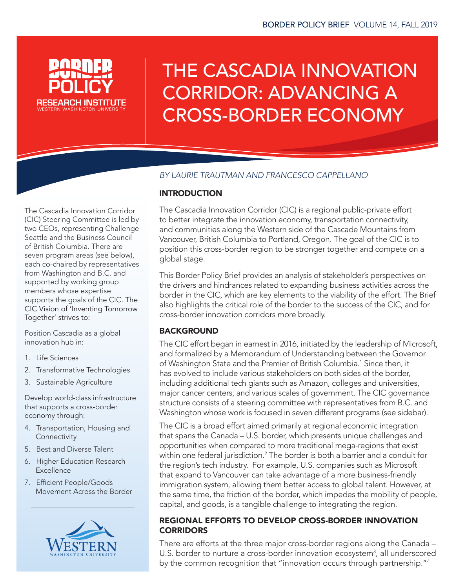

# THE CASCADIA INNOVATION CORRIDOR: ADVANCING A CROSS-BORDER ECONOMY

# *BY LAURIE TRAUTMAN AND FRANCESCO CAPPELLANO*

The Cascadia Innovation Corridor (CIC) Steering Committee is led by two CEOs, representing Challenge Seattle and the Business Council of British Columbia. There are seven program areas (see below), each co-chaired by representatives from Washington and B.C. and supported by working group members whose expertise supports the goals of the CIC. The CIC Vision of 'Inventing Tomorrow Together' strives to:

Position Cascadia as a global innovation hub in:

- 1. Life Sciences
- 2. Transformative Technologies
- 3. Sustainable Agriculture

Develop world-class infrastructure that supports a cross-border economy through:

- 4. Transportation, Housing and **Connectivity**
- 5. Best and Diverse Talent
- 6. Higher Education Research Excellence
- 7. Efficient People/Goods Movement Across the Border



# **INTRODUCTION**

The Cascadia Innovation Corridor (CIC) is a regional public-private effort to better integrate the innovation economy, transportation connectivity, and communities along the Western side of the Cascade Mountains from Vancouver, British Columbia to Portland, Oregon. The goal of the CIC is to position this cross-border region to be stronger together and compete on a global stage.

This Border Policy Brief provides an analysis of stakeholder's perspectives on the drivers and hindrances related to expanding business activities across the border in the CIC, which are key elements to the viability of the effort. The Brief also highlights the critical role of the border to the success of the CIC, and for cross-border innovation corridors more broadly.

# BACKGROUND

The CIC effort began in earnest in 2016, initiated by the leadership of Microsoft, and formalized by a Memorandum of Understanding between the Governor of Washington State and the Premier of British Columbia.<sup>1</sup> Since then, it has evolved to include various stakeholders on both sides of the border, including additional tech giants such as Amazon, colleges and universities, major cancer centers, and various scales of government. The CIC governance structure consists of a steering committee with representatives from B.C. and Washington whose work is focused in seven different programs (see sidebar).

The CIC is a broad effort aimed primarily at regional economic integration that spans the Canada – U.S. border, which presents unique challenges and opportunities when compared to more traditional mega-regions that exist within one federal jurisdiction.2 The border is both a barrier and a conduit for the region's tech industry. For example, U.S. companies such as Microsoft that expand to Vancouver can take advantage of a more business-friendly immigration system, allowing them better access to global talent. However, at the same time, the friction of the border, which impedes the mobility of people, capital, and goods, is a tangible challenge to integrating the region.

# REGIONAL EFFORTS TO DEVELOP CROSS-BORDER INNOVATION **CORRIDORS**

There are efforts at the three major cross-border regions along the Canada – U.S. border to nurture a cross-border innovation ecosystem<sup>3</sup>, all underscored by the common recognition that "innovation occurs through partnership."4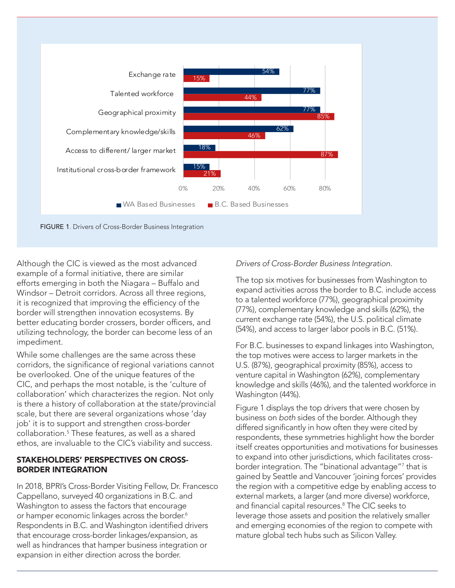

Although the CIC is viewed as the most advanced example of a formal initiative, there are similar efforts emerging in both the Niagara – Buffalo and Windsor – Detroit corridors. Across all three regions, it is recognized that improving the efficiency of the border will strengthen innovation ecosystems. By better educating border crossers, border officers, and utilizing technology, the border can become less of an impediment.

While some challenges are the same across these corridors, the significance of regional variations cannot be overlooked. One of the unique features of the CIC, and perhaps the most notable, is the 'culture of collaboration' which characterizes the region. Not only is there a history of collaboration at the state/provincial scale, but there are several organizations whose 'day job' it is to support and strengthen cross-border collaboration.5 These features, as well as a shared ethos, are invaluable to the CIC's viability and success.

## STAKEHOLDERS' PERSPECTIVES ON CROSS-BORDER INTEGRATION

In 2018, BPRI's Cross-Border Visiting Fellow, Dr. Francesco Cappellano, surveyed 40 organizations in B.C. and Washington to assess the factors that encourage or hamper economic linkages across the border.<sup>6</sup> Respondents in B.C. and Washington identified drivers that encourage cross-border linkages/expansion, as well as hindrances that hamper business integration or expansion in either direction across the border.

## *Drivers of Cross-Border Business Integration.*

The top six motives for businesses from Washington to expand activities across the border to B.C. include access to a talented workforce (77%), geographical proximity (77%), complementary knowledge and skills (62%), the current exchange rate (54%), the U.S. political climate (54%), and access to larger labor pools in B.C. (51%).

For B.C. businesses to expand linkages into Washington, the top motives were access to larger markets in the U.S. (87%), geographical proximity (85%), access to venture capital in Washington (62%), complementary knowledge and skills (46%), and the talented workforce in Washington (44%).

Figure 1 displays the top drivers that were chosen by business on *both* sides of the border. Although they differed significantly in how often they were cited by respondents, these symmetries highlight how the border itself creates opportunities and motivations for businesses to expand into other jurisdictions, which facilitates crossborder integration. The "binational advantage"7 that is gained by Seattle and Vancouver 'joining forces' provides the region with a competitive edge by enabling access to external markets, a larger (and more diverse) workforce, and financial capital resources.<sup>8</sup> The CIC seeks to leverage those assets and position the relatively smaller and emerging economies of the region to compete with mature global tech hubs such as Silicon Valley.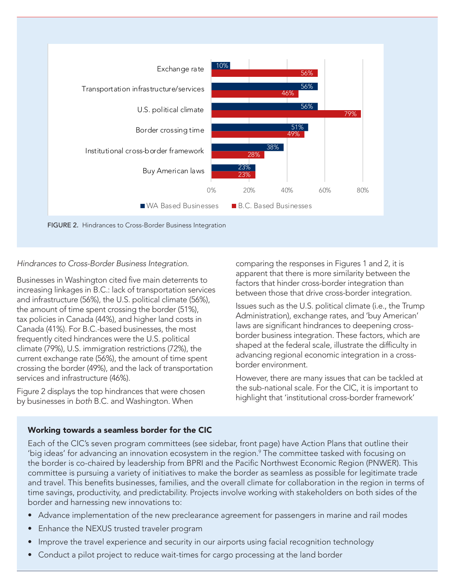

#### *Hindrances to Cross-Border Business Integration.*

Businesses in Washington cited five main deterrents to increasing linkages in B.C.: lack of transportation services and infrastructure (56%), the U.S. political climate (56%), the amount of time spent crossing the border (51%), tax policies in Canada (44%), and higher land costs in Canada (41%). For B.C.-based businesses, the most frequently cited hindrances were the U.S. political climate (79%), U.S. immigration restrictions (72%), the current exchange rate (56%), the amount of time spent crossing the border (49%), and the lack of transportation services and infrastructure (46%).

Figure 2 displays the top hindrances that were chosen by businesses in *both* B.C. and Washington. When

comparing the responses in Figures 1 and 2, it is apparent that there is more similarity between the factors that hinder cross-border integration than between those that drive cross-border integration.

Issues such as the U.S. political climate (i.e., the Trump Administration), exchange rates, and 'buy American' laws are significant hindrances to deepening crossborder business integration. These factors, which are shaped at the federal scale, illustrate the difficulty in advancing regional economic integration in a crossborder environment.

However, there are many issues that can be tackled at the sub-national scale. For the CIC, it is important to highlight that 'institutional cross-border framework'

#### Working towards a seamless border for the CIC

Each of the CIC's seven program committees (see sidebar, front page) have Action Plans that outline their 'big ideas' for advancing an innovation ecosystem in the region. $\degree$  The committee tasked with focusing on the border is co-chaired by leadership from BPRI and the Pacific Northwest Economic Region (PNWER). This committee is pursuing a variety of initiatives to make the border as seamless as possible for legitimate trade and travel. This benefits businesses, families, and the overall climate for collaboration in the region in terms of time savings, productivity, and predictability. Projects involve working with stakeholders on both sides of the border and harnessing new innovations to:

- Advance implementation of the new preclearance agreement for passengers in marine and rail modes
- Enhance the NEXUS trusted traveler program
- Improve the travel experience and security in our airports using facial recognition technology
- Conduct a pilot project to reduce wait-times for cargo processing at the land border